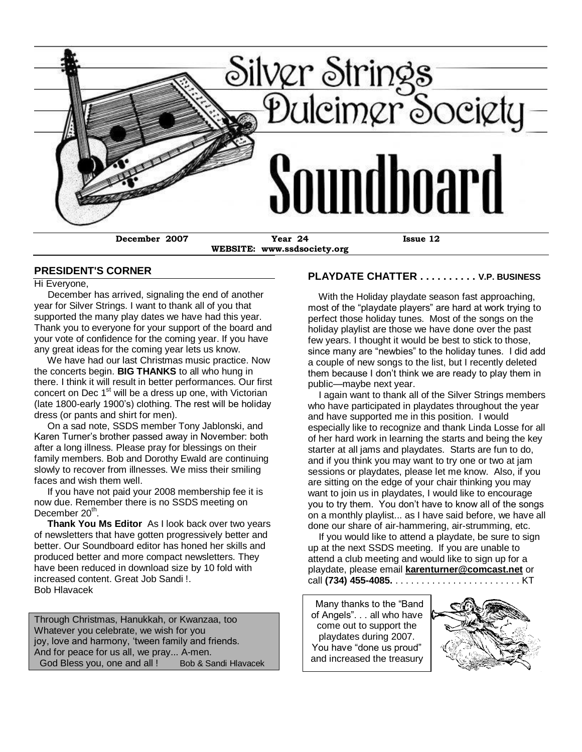

**WEBSITE: www.ssdsociety.org**

#### **PLAYDATE CHATTER . . . . . . . . . . V.P. BUSINESS**

Hi Everyone, December has arrived, signaling the end of another year for Silver Strings. I want to thank all of you that supported the many play dates we have had this year. Thank you to everyone for your support of the board and your vote of confidence for the coming year. If you have any great ideas for the coming year lets us know.

**PRESIDENT'S CORNER**

 We have had our last Christmas music practice. Now the concerts begin. **BIG THANKS** to all who hung in there. I think it will result in better performances. Our first concert on Dec 1<sup>st</sup> will be a dress up one, with Victorian (late 1800-early 1900's) clothing. The rest will be holiday dress (or pants and shirt for men).

 On a sad note, SSDS member Tony Jablonski, and Karen Turner's brother passed away in November: both after a long illness. Please pray for blessings on their family members. Bob and Dorothy Ewald are continuing slowly to recover from illnesses. We miss their smiling faces and wish them well.

 If you have not paid your 2008 membership fee it is now due. Remember there is no SSDS meeting on December 20<sup>th</sup>.

 **Thank You Ms Editor** As I look back over two years of newsletters that have gotten progressively better and better. Our Soundboard editor has honed her skills and produced better and more compact newsletters. They have been reduced in download size by 10 fold with increased content. Great Job Sandi !. Bob Hlavacek

Through Christmas, Hanukkah, or Kwanzaa, too Whatever you celebrate, we wish for you joy, love and harmony, 'tween family and friends. And for peace for us all, we pray... A-men. God Bless you, one and all ! Bob & Sandi Hlavacek

 With the Holiday playdate season fast approaching, most of the "playdate players" are hard at work trying to perfect those holiday tunes. Most of the songs on the holiday playlist are those we have done over the past few years. I thought it would be best to stick to those, since many are "newbies" to the holiday tunes. I did add a couple of new songs to the list, but I recently deleted them because I don't think we are ready to play them in public—maybe next year.

 I again want to thank all of the Silver Strings members who have participated in playdates throughout the year and have supported me in this position. I would especially like to recognize and thank Linda Losse for all of her hard work in learning the starts and being the key starter at all jams and playdates. Starts are fun to do, and if you think you may want to try one or two at jam sessions or playdates, please let me know. Also, if you are sitting on the edge of your chair thinking you may want to join us in playdates, I would like to encourage you to try them. You don't have to know all of the songs on a monthly playlist... as I have said before, we have all done our share of air-hammering, air-strumming, etc.

 If you would like to attend a playdate, be sure to sign up at the next SSDS meeting. If you are unable to attend a club meeting and would like to sign up for a playdate, please email **[karenturner@comcast.net](mailto:karenturner@comcast.net)** or call **(734) 455-4085.** . . . . . . . . . . . . . . . . . . . . . . . . KT

and increased the treasury<br>
<u>**<u></u>**</u> Many thanks to the "Band" of Angels". . . all who have come out to support the playdates during 2007. You have "done us proud"

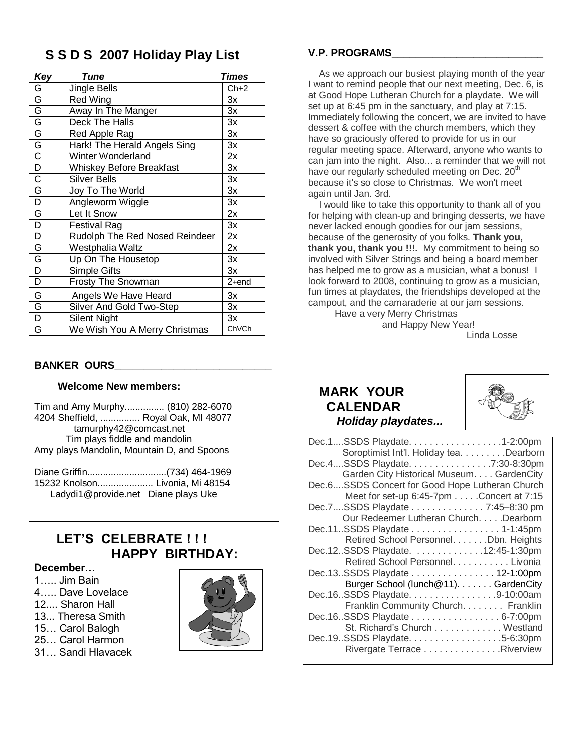## **S S D S 2007 Holiday Play List**

| Key                     | Tune                            | Times   |
|-------------------------|---------------------------------|---------|
| G                       | Jingle Bells                    | $Ch+2$  |
| olololololololo         | Red Wing                        | Зx      |
|                         | Away In The Manger              | Зx      |
|                         | Deck The Halls                  | 3x      |
|                         | Red Apple Rag                   | 3x      |
|                         | Hark! The Herald Angels Sing    | Зx      |
|                         | Winter Wonderland               | 2x      |
|                         | <b>Whiskey Before Breakfast</b> | Зx      |
|                         | <b>Silver Bells</b>             | 3x      |
| $rac{\overline{G}}{D}$  | Joy To The World                | 3x      |
|                         | Angleworm Wiggle                | Зx      |
| $\overline{\mathsf{G}}$ | Let It Snow                     | 2x      |
| $\overline{D}$          | <b>Festival Rag</b>             | 3x      |
| $\overline{D}$          | Rudolph The Red Nosed Reindeer  | 2x      |
| $\frac{G}{D}$           | Westphalia Waltz                | 2x      |
|                         | Up On The Housetop              | Зx      |
|                         | Simple Gifts                    | 3x      |
| $\overline{D}$          | <b>Frosty The Snowman</b>       | $2+end$ |
| G                       | Angels We Have Heard            | Зx      |
| G                       | Silver And Gold Two-Step        | 3x      |
| $\overline{\mathsf{D}}$ | <b>Silent Night</b>             | 3x      |
| G                       | We Wish You A Merry Christmas   | ChVCh   |

#### **BANKER OURS**

#### **Welcome New members:**

Tim and Amy Murphy............... (810) 282-6070 4204 Sheffield, ............... Royal Oak, MI 48077 tamurphy42@comcast.net Tim plays fiddle and mandolin Amy plays Mandolin, Mountain D, and Spoons

Diane Griffin..............................(734) 464-1969 15232 Knolson..................... Livonia, Mi 48154 Ladydi1@provide.net Diane plays Uke

## **LET'S CELEBRATE ! ! ! HAPPY BIRTHDAY:**

## **December…**

- 1….. Jim Bain
- 4….. Dave Lovelace
- 12.... Sharon Hall
- 13... Theresa Smith
- 15… Carol Balogh
- 25… Carol Harmon
- 31… Sandi Hlavacek



### **V.P. PROGRAMS\_\_\_\_\_\_\_\_\_\_\_\_\_\_\_\_\_\_\_\_\_\_\_\_\_\_**

 As we approach our busiest playing month of the year I want to remind people that our next meeting, Dec. 6, is at Good Hope Lutheran Church for a playdate. We will set up at 6:45 pm in the sanctuary, and play at 7:15. Immediately following the concert, we are invited to have dessert & coffee with the church members, which they have so graciously offered to provide for us in our regular meeting space. Afterward, anyone who wants to can jam into the night. Also... a reminder that we will not have our regularly scheduled meeting on Dec. 20<sup>th</sup> because it's so close to Christmas. We won't meet again until Jan. 3rd.

 I would like to take this opportunity to thank all of you for helping with clean-up and bringing desserts, we have never lacked enough goodies for our jam sessions, because of the generosity of you folks. **Thank you, thank you, thank you !!!.** My commitment to being so involved with Silver Strings and being a board member has helped me to grow as a musician, what a bonus! I look forward to 2008, continuing to grow as a musician, fun times at playdates, the friendships developed at the campout, and the camaraderie at our jam sessions.

 Have a very Merry Christmas and Happy New Year!

Linda Losse

## **MARK YOUR CALENDAR**   *Holiday playdates...*



| Dec.1SSDS Playdate. 1-2:00pm                    |
|-------------------------------------------------|
| Soroptimist Int'l. Holiday tea. Dearborn        |
| Dec.4SSDS Playdate. 7:30-8:30pm                 |
| Garden City Historical Museum. GardenCity       |
| Dec.6SSDS Concert for Good Hope Lutheran Church |
| Meet for set-up 6:45-7pm Concert at 7:15        |
| Dec.7SSDS Playdate 7:45-8:30 pm                 |
| Our Redeemer Lutheran Church. Dearborn          |
| Dec.11SSDS Playdate 1-1:45pm                    |
| Retired School Personnel. Dbn. Heights          |
| Dec.12SSDS Playdate. 12:45-1:30pm               |
| Retired School Personnel. Livonia               |
| Dec.13SSDS Playdate 12-1:00pm                   |
| Burger School (lunch@11). GardenCity            |
| Dec.16SSDS Playdate. 9-10:00am                  |
| Franklin Community Church. Franklin             |
| Dec.16SSDS Playdate 6-7:00pm                    |
| St. Richard's Church Westland                   |
| Dec.19.SSDS Playdate. 5-6:30pm                  |
| Rivergate Terrace Riverview                     |
|                                                 |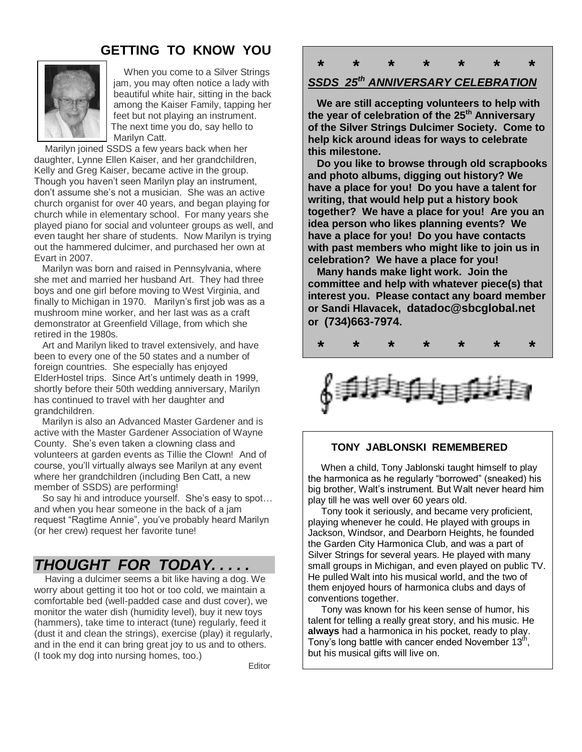## **GETTING TO KNOW YOU**



 When you come to a Silver Strings jam, you may often notice a lady with beautiful white hair, sitting in the back among the Kaiser Family, tapping her feet but not playing an instrument. The next time you do, say hello to Marilyn Catt.

 Marilyn joined SSDS a few years back when her daughter, Lynne Ellen Kaiser, and her grandchildren, Kelly and Greg Kaiser, became active in the group. Though you haven't seen Marilyn play an instrument, don't assume she's not a musician. She was an active church organist for over 40 years, and began playing for church while in elementary school. For many years she played piano for social and volunteer groups as well, and even taught her share of students. Now Marilyn is trying out the hammered dulcimer, and purchased her own at Evart in 2007.

 Marilyn was born and raised in Pennsylvania, where she met and married her husband Art. They had three boys and one girl before moving to West Virginia, and finally to Michigan in 1970. Marilyn's first job was as a mushroom mine worker, and her last was as a craft demonstrator at Greenfield Village, from which she retired in the 1980s.

 Art and Marilyn liked to travel extensively, and have been to every one of the 50 states and a number of foreign countries. She especially has enjoyed ElderHostel trips. Since Art's untimely death in 1999, shortly before their 50th wedding anniversary, Marilyn has continued to travel with her daughter and grandchildren.

 Marilyn is also an Advanced Master Gardener and is active with the Master Gardener Association of Wayne County. She's even taken a clowning class and volunteers at garden events as Tillie the Clown! And of course, you'll virtually always see Marilyn at any event where her grandchildren (including Ben Catt, a new member of SSDS) are performing!

 So say hi and introduce yourself. She's easy to spot… and when you hear someone in the back of a jam request "Ragtime Annie", you've probably heard Marilyn (or her crew) request her favorite tune!

# *THOUGHT FOR TODAY. . . . .*

 Having a dulcimer seems a bit like having a dog. We worry about getting it too hot or too cold, we maintain a comfortable bed (well-padded case and dust cover), we monitor the water dish (humidity level), buy it new toys (hammers), take time to interact (tune) regularly, feed it (dust it and clean the strings), exercise (play) it regularly, and in the end it can bring great joy to us and to others. (I took my dog into nursing homes, too.)

en de la construction de la construction de la construction de la construction de la construction de la constr

 **\* \* \* \* \* \* \***

## *SSDS 25th ANNIVERSARY CELEBRATION*

 **We are still accepting volunteers to help with the year of celebration of the 25th Anniversary of the Silver Strings Dulcimer Society. Come to help kick around ideas for ways to celebrate this milestone.** 

 **Do you like to browse through old scrapbooks and photo albums, digging out history? We have a place for you! Do you have a talent for writing, that would help put a history book together? We have a place for you! Are you an idea person who likes planning events? We have a place for you! Do you have contacts with past members who might like to join us in celebration? We have a place for you!**

 **Many hands make light work. Join the committee and help with whatever piece(s) that interest you. Please contact any board member or Sandi Hlavacek, datadoc@sbcglobal.net or (734)663-7974.** 



#### **TONY JABLONSKI REMEMBERED**

 When a child, Tony Jablonski taught himself to play the harmonica as he regularly "borrowed" (sneaked) his big brother, Walt's instrument. But Walt never heard him play till he was well over 60 years old.

 Tony took it seriously, and became very proficient, playing whenever he could. He played with groups in Jackson, Windsor, and Dearborn Heights, he founded the Garden City Harmonica Club, and was a part of Silver Strings for several years. He played with many small groups in Michigan, and even played on public TV. He pulled Walt into his musical world, and the two of them enjoyed hours of harmonica clubs and days of conventions together.

 Tony was known for his keen sense of humor, his talent for telling a really great story, and his music. He **always** had a harmonica in his pocket, ready to play. Tony's long battle with cancer ended November 13<sup>th</sup>, but his musical gifts will live on.